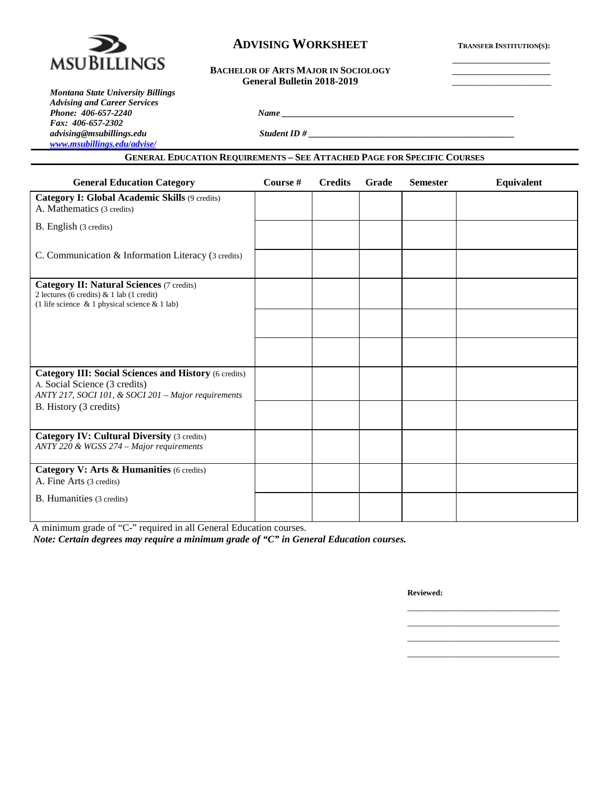

# **ADVISING WORKSHEET TRANSFER INSTITUTION(S):**

# **BACHELOR OF ARTS MAJOR IN SOCIOLOGY** General Bulletin 2018-2019

*Montana State University Billings Advising and Career Services Phone: 406-657-2240 Name \_\_\_\_\_\_\_\_\_\_\_\_\_\_\_\_\_\_\_\_\_\_\_\_\_\_\_\_\_\_\_\_\_\_\_\_\_\_\_\_\_\_\_\_\_\_\_\_\_\_\_\_ Fax: 406-657-2302 [www.msubillings.edu/advise/](http://www.msubillings.edu/advise/)*

*advising@msubillings.edu Student ID # \_\_\_\_\_\_\_\_\_\_\_\_\_\_\_\_\_\_\_\_\_\_\_\_\_\_\_\_\_\_\_\_\_\_\_\_\_\_\_\_\_\_\_\_\_\_*

**GENERAL EDUCATION REQUIREMENTS – SEE ATTACHED PAGE FOR SPECIFIC COURSES**

| <b>General Education Category</b>                                                                                                                      | Course # | <b>Credits</b> | Grade | <b>Semester</b> | Equivalent |
|--------------------------------------------------------------------------------------------------------------------------------------------------------|----------|----------------|-------|-----------------|------------|
| Category I: Global Academic Skills (9 credits)<br>A. Mathematics (3 credits)                                                                           |          |                |       |                 |            |
| B. English (3 credits)                                                                                                                                 |          |                |       |                 |            |
| C. Communication & Information Literacy (3 credits)                                                                                                    |          |                |       |                 |            |
| <b>Category II: Natural Sciences (7 credits)</b><br>2 lectures (6 credits) $& 1$ lab (1 credit)<br>(1 life science $\&$ 1 physical science $\&$ 1 lab) |          |                |       |                 |            |
|                                                                                                                                                        |          |                |       |                 |            |
|                                                                                                                                                        |          |                |       |                 |            |
| <b>Category III: Social Sciences and History (6 credits)</b><br>A. Social Science (3 credits)<br>ANTY 217, SOCI 101, & SOCI 201 - Major requirements   |          |                |       |                 |            |
| B. History (3 credits)                                                                                                                                 |          |                |       |                 |            |
| <b>Category IV: Cultural Diversity (3 credits)</b><br>ANTY 220 & WGSS 274 – Major requirements                                                         |          |                |       |                 |            |
| Category V: Arts & Humanities (6 credits)<br>A. Fine Arts (3 credits)                                                                                  |          |                |       |                 |            |
| <b>B.</b> Humanities (3 credits)                                                                                                                       |          |                |       |                 |            |

A minimum grade of "C-" required in all General Education courses.

*Note: Certain degrees may require a minimum grade of "C" in General Education courses.*

**Reviewed:**

\_\_\_\_\_\_\_\_\_\_\_\_\_\_\_\_\_\_\_\_\_\_\_\_\_\_\_\_\_\_\_\_\_\_ \_\_\_\_\_\_\_\_\_\_\_\_\_\_\_\_\_\_\_\_\_\_\_\_\_\_\_\_\_\_\_\_\_\_ \_\_\_\_\_\_\_\_\_\_\_\_\_\_\_\_\_\_\_\_\_\_\_\_\_\_\_\_\_\_\_\_\_\_ \_\_\_\_\_\_\_\_\_\_\_\_\_\_\_\_\_\_\_\_\_\_\_\_\_\_\_\_\_\_\_\_\_\_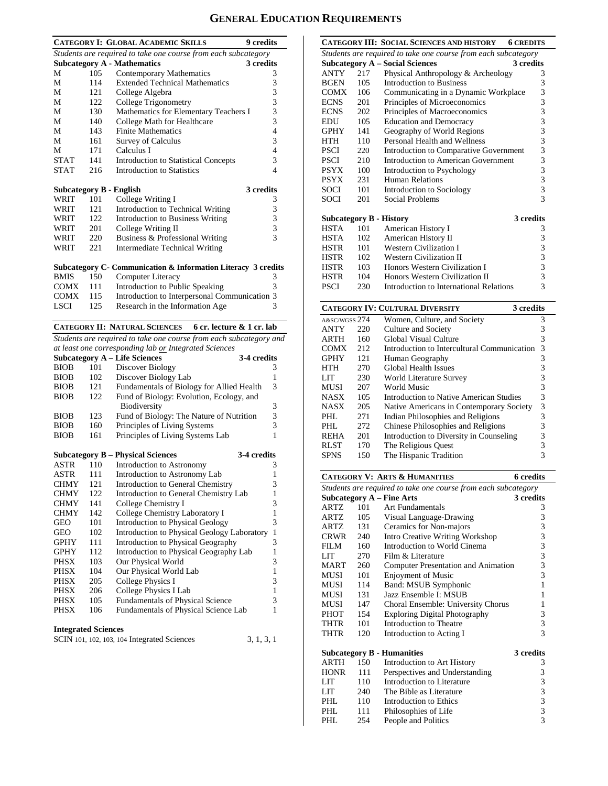# **GENERAL EDUCATION REQUIREMENTS**

|                                |     | <b>CATEGORY I: GLOBAL ACADEMIC SKILLS</b>                          | <b>9</b> credits |
|--------------------------------|-----|--------------------------------------------------------------------|------------------|
|                                |     | Students are required to take one course from each subcategory     |                  |
|                                |     | <b>Subcategory A - Mathematics</b>                                 | 3 credits        |
| М                              | 105 | Contemporary Mathematics                                           | 3                |
| М                              | 114 | <b>Extended Technical Mathematics</b>                              | 3                |
| М                              | 121 | College Algebra                                                    | 3                |
| М                              | 122 | College Trigonometry                                               | 3                |
| М                              | 130 | Mathematics for Elementary Teachers I                              | 3                |
| М                              | 140 | College Math for Healthcare                                        | 3                |
| М                              | 143 | <b>Finite Mathematics</b>                                          | 4                |
| М                              | 161 | <b>Survey of Calculus</b>                                          | 3                |
| М                              | 171 | Calculus I                                                         | 4                |
| STAT                           | 141 | <b>Introduction to Statistical Concepts</b>                        | 3                |
| <b>STAT</b>                    | 216 | <b>Introduction to Statistics</b>                                  | 4                |
|                                |     |                                                                    |                  |
| <b>Subcategory B - English</b> |     |                                                                    | 3 credits        |
| WRIT                           | 101 | College Writing I                                                  | 3                |
| WRIT                           | 121 | Introduction to Technical Writing                                  | 3                |
| WRIT                           | 122 | Introduction to Business Writing                                   | 3                |
| WRIT                           | 201 | College Writing II                                                 | 3                |
| WRIT                           | 220 | Business & Professional Writing                                    | 3                |
| WRIT                           | 221 | <b>Intermediate Technical Writing</b>                              |                  |
|                                |     |                                                                    |                  |
|                                |     | Subcategory C- Communication & Information Literacy 3 credits      |                  |
| <b>BMIS</b>                    | 150 | Computer Literacy                                                  | 3                |
| <b>COMX</b>                    | 111 | Introduction to Public Speaking                                    | 3                |
| <b>COMX</b>                    | 115 | Introduction to Interpersonal Communication 3                      |                  |
| LSCI                           | 125 | Research in the Information Age                                    | 3                |
|                                |     |                                                                    |                  |
|                                |     | <b>CATEGORY II: NATURAL SCIENCES</b><br>6 cr. lecture & 1 cr. lab  |                  |
|                                |     | Students are required to take one course from each subcategory and |                  |
|                                |     | at least one corresponding lab or Integrated Sciences              |                  |
|                                |     | <b>Subcategory A - Life Sciences</b><br>3-4 credits                |                  |
| <b>BIOB</b>                    | 101 | Discover Biology                                                   | 3                |
| <b>BIOB</b>                    | 102 | Discover Biology Lab                                               | 1                |
| <b>BIOB</b>                    | 121 | Fundamentals of Biology for Allied Health                          | 3                |
| <b>BIOB</b>                    | 122 | Fund of Biology: Evolution, Ecology, and                           |                  |
|                                |     | Biodiversity                                                       | 3                |
| <b>BIOB</b>                    | 123 | Fund of Biology: The Nature of Nutrition                           | 3                |
| <b>BIOB</b>                    | 160 | Principles of Living Systems                                       | 3                |
| <b>BIOB</b>                    | 161 | Principles of Living Systems Lab                                   | 1                |
|                                |     |                                                                    |                  |
|                                |     | 3-4 credits<br><b>Subcategory B – Physical Sciences</b>            |                  |
| ASTR                           | 110 | Introduction to Astronomy                                          | 3                |
| <b>ASTR</b>                    | 111 | Introduction to Astronomy Lab                                      | $\mathbf{1}$     |
| CHMY                           | 121 | Introduction to General Chemistry                                  | 3                |
| <b>CHMY</b>                    | 122 | Introduction to General Chemistry Lab                              | $\mathbf{1}$     |
| <b>CHMY</b>                    | 141 | College Chemistry I                                                | 3                |
| <b>CHMY</b>                    | 142 | College Chemistry Laboratory I                                     | $\mathbf{1}$     |
| <b>GEO</b>                     | 101 | Introduction to Physical Geology                                   | 3                |
| GEO                            | 102 | Introduction to Physical Geology Laboratory                        | $\mathbf{1}$     |
| GPHY                           | 111 | Introduction to Physical Geography                                 | 3                |
| GPHY                           | 112 | Introduction to Physical Geography Lab                             | 1                |
| PHSX                           | 103 | Our Physical World                                                 | 3                |
| PHSX                           | 104 | Our Physical World Lab                                             | 1                |
| PHSX                           | 205 | College Physics I                                                  | 3                |
| PHSX                           | 206 | College Physics I Lab                                              | 1                |
| PHSX                           | 105 | Fundamentals of Physical Science                                   | 3                |
| PHSX                           | 106 | Fundamentals of Physical Science Lab                               | $\mathbf{1}$     |
|                                |     |                                                                    |                  |

# **Integrated Sciences**

| SCIN 101, 102, 103, 104 Integrated Sciences | 3, 1, 3, 1 |
|---------------------------------------------|------------|
|---------------------------------------------|------------|

|                                                                |     | CATEGORY III: SOCIAL SCIENCES AND HISTORY | <b>6 CREDITS</b> |  |  |
|----------------------------------------------------------------|-----|-------------------------------------------|------------------|--|--|
| Students are required to take one course from each subcategory |     |                                           |                  |  |  |
|                                                                |     | <b>Subcategory A – Social Sciences</b>    | 3 credits        |  |  |
| <b>ANTY</b>                                                    | 217 | Physical Anthropology & Archeology        | 3                |  |  |
| <b>BGEN</b>                                                    | 105 | <b>Introduction to Business</b>           | 3                |  |  |
| <b>COMX</b>                                                    | 106 | Communicating in a Dynamic Workplace      | 3                |  |  |
| <b>ECNS</b>                                                    | 201 | Principles of Microeconomics              | 3                |  |  |
| <b>ECNS</b>                                                    | 202 | Principles of Macroeconomics              | 3                |  |  |
| EDU                                                            | 105 | <b>Education and Democracy</b>            | 3                |  |  |
| <b>GPHY</b>                                                    | 141 | Geography of World Regions                | 3                |  |  |
| <b>HTH</b>                                                     | 110 | Personal Health and Wellness              | 3                |  |  |
| <b>PSCI</b>                                                    | 220 | Introduction to Comparative Government    | 3                |  |  |
| <b>PSCI</b>                                                    | 210 | Introduction to American Government       | 3                |  |  |
| <b>PSYX</b>                                                    | 100 | Introduction to Psychology                | 3                |  |  |
| <b>PSYX</b>                                                    | 231 | Human Relations                           | 3                |  |  |
| <b>SOCI</b>                                                    | 101 | Introduction to Sociology                 | 3                |  |  |
| SOCI                                                           | 201 | Social Problems                           | 3                |  |  |
|                                                                |     |                                           |                  |  |  |
| <b>Subcategory B - History</b>                                 |     |                                           | 3 credits        |  |  |
| <b>HSTA</b>                                                    | 101 | American History I                        | 3                |  |  |
| HSTA                                                           | 102 | American History II                       | 3                |  |  |
| HSTR                                                           | 101 | <b>Western Civilization I</b>             | 3                |  |  |
| HSTR                                                           | 102 | <b>Western Civilization II</b>            | 3                |  |  |
| <b>HSTR</b>                                                    | 103 | Honors Western Civilization I             | 3                |  |  |
| HSTR                                                           | 104 | Honors Western Civilization II            | 3                |  |  |
| <b>PSCI</b>                                                    | 230 | Introduction to International Relations   | 3                |  |  |
|                                                                |     |                                           |                  |  |  |

| <b>CATEGORY IV: CULTURAL DIVERSITY</b> |                                    |  |                                                                                                                                                                                            |  |  |  |
|----------------------------------------|------------------------------------|--|--------------------------------------------------------------------------------------------------------------------------------------------------------------------------------------------|--|--|--|
| A&SC/WGSS 274                          | Women, Culture, and Society        |  | 3                                                                                                                                                                                          |  |  |  |
| 220                                    | Culture and Society                |  | 3                                                                                                                                                                                          |  |  |  |
| 160                                    | Global Visual Culture              |  | 3                                                                                                                                                                                          |  |  |  |
| 212                                    |                                    |  | 3                                                                                                                                                                                          |  |  |  |
| 121                                    | Human Geography                    |  | 3                                                                                                                                                                                          |  |  |  |
| 270                                    | Global Health Issues               |  | 3                                                                                                                                                                                          |  |  |  |
| 230                                    | <b>World Literature Survey</b>     |  | 3                                                                                                                                                                                          |  |  |  |
| 207                                    | World Music                        |  | 3                                                                                                                                                                                          |  |  |  |
| 105                                    |                                    |  | 3                                                                                                                                                                                          |  |  |  |
| 205                                    |                                    |  | 3                                                                                                                                                                                          |  |  |  |
| 271                                    | Indian Philosophies and Religions  |  | 3                                                                                                                                                                                          |  |  |  |
| 272                                    | Chinese Philosophies and Religions |  | 3                                                                                                                                                                                          |  |  |  |
| 201                                    |                                    |  | 3                                                                                                                                                                                          |  |  |  |
| 170                                    | The Religious Quest                |  | 3                                                                                                                                                                                          |  |  |  |
| 150                                    | The Hispanic Tradition             |  | 3                                                                                                                                                                                          |  |  |  |
|                                        |                                    |  | 3 credits<br>Introduction to Intercultural Communication<br>Introduction to Native American Studies<br>Native Americans in Contemporary Society<br>Introduction to Diversity in Counseling |  |  |  |

|             |                                      | <b>6</b> credits                                                                                                                                                                                                |
|-------------|--------------------------------------|-----------------------------------------------------------------------------------------------------------------------------------------------------------------------------------------------------------------|
|             |                                      |                                                                                                                                                                                                                 |
|             |                                      | 3 credits                                                                                                                                                                                                       |
| 101         | Art Fundamentals                     | 3                                                                                                                                                                                                               |
|             | Visual Language-Drawing              | 3                                                                                                                                                                                                               |
| ARTZ<br>131 | Ceramics for Non-majors              | 3                                                                                                                                                                                                               |
| CRWR<br>240 | Intro Creative Writing Workshop      | 3                                                                                                                                                                                                               |
|             | Introduction to World Cinema         | 3                                                                                                                                                                                                               |
| 270         | Film & Literature                    | 3                                                                                                                                                                                                               |
| 260<br>MART | Computer Presentation and Animation  | 3                                                                                                                                                                                                               |
| 101         | <b>Enjoyment of Music</b>            | 3                                                                                                                                                                                                               |
| 114         | Band: MSUB Symphonic                 | 1                                                                                                                                                                                                               |
| 131         | Jazz Ensemble I: MSUB                | 1                                                                                                                                                                                                               |
| 147         | Choral Ensemble: University Chorus   | 1                                                                                                                                                                                                               |
| 154         | <b>Exploring Digital Photography</b> | 3                                                                                                                                                                                                               |
| 101         | Introduction to Theatre              | 3                                                                                                                                                                                                               |
| 120         | Introduction to Acting I             | 3                                                                                                                                                                                                               |
|             |                                      | 3 credits                                                                                                                                                                                                       |
| 150         | Introduction to Art History          | 3                                                                                                                                                                                                               |
|             | Perspectives and Understanding       | 3                                                                                                                                                                                                               |
| 110         | Introduction to Literature           | 3                                                                                                                                                                                                               |
| 240         | The Bible as Literature              | $\overline{\mathbf{3}}$                                                                                                                                                                                         |
|             | Introduction to Ethics               | 3                                                                                                                                                                                                               |
| 111         | Philosophies of Life                 | 3                                                                                                                                                                                                               |
| 254         | People and Politics                  | 3                                                                                                                                                                                                               |
|             |                                      | <b>CATEGORY V: ARTS &amp; HUMANITIES</b><br>Students are required to take one course from each subcategory<br><b>Subcategory A – Fine Arts</b><br>105<br>160<br><b>Subcategory B - Humanities</b><br>111<br>110 |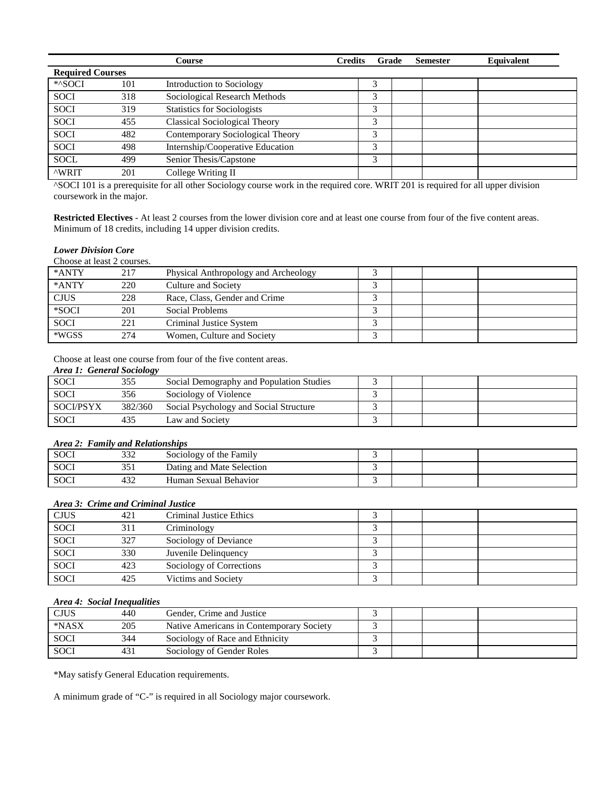|                         |     | Course                               | <b>Credits</b><br>Grade | <b>Semester</b> | Equivalent |
|-------------------------|-----|--------------------------------------|-------------------------|-----------------|------------|
| <b>Required Courses</b> |     |                                      |                         |                 |            |
| *^SOCI                  | 101 | Introduction to Sociology            | 3                       |                 |            |
| <b>SOCI</b>             | 318 | Sociological Research Methods        | 3                       |                 |            |
| <b>SOCI</b>             | 319 | <b>Statistics for Sociologists</b>   | 3                       |                 |            |
| <b>SOCI</b>             | 455 | <b>Classical Sociological Theory</b> |                         |                 |            |
| <b>SOCI</b>             | 482 | Contemporary Sociological Theory     | 3                       |                 |            |
| <b>SOCI</b>             | 498 | Internship/Cooperative Education     | 3                       |                 |            |
| <b>SOCL</b>             | 499 | Senior Thesis/Capstone               | 3                       |                 |            |
| <b>AWRIT</b>            | 201 | College Writing II                   |                         |                 |            |

^SOCI 101 is a prerequisite for all other Sociology course work in the required core. WRIT 201 is required for all upper division coursework in the major.

**Restricted Electives** - At least 2 courses from the lower division core and at least one course from four of the five content areas. Minimum of 18 credits, including 14 upper division credits.

#### *Lower Division Core*

| Choose at least 2 courses. |     |                                      |   |  |  |
|----------------------------|-----|--------------------------------------|---|--|--|
| *ANTY                      | 217 | Physical Anthropology and Archeology |   |  |  |
| *ANTY                      | 220 | Culture and Society                  |   |  |  |
| <b>CJUS</b>                | 228 | Race, Class, Gender and Crime        |   |  |  |
| *SOCI                      | 201 | Social Problems                      | ╭ |  |  |
| <b>SOCI</b>                | 221 | Criminal Justice System              |   |  |  |
| *WGSS                      | 274 | Women, Culture and Society           | ╭ |  |  |

Choose at least one course from four of the five content areas.

|  |  | <b>Area 1: General Sociology</b> |
|--|--|----------------------------------|
|--|--|----------------------------------|

| <b>SOCI</b>      | 355     | Social Demography and Population Studies |  |  |
|------------------|---------|------------------------------------------|--|--|
| <b>SOCI</b>      | 356     | Sociology of Violence                    |  |  |
| <b>SOCI/PSYX</b> | 382/360 | Social Psychology and Social Structure   |  |  |
| <b>SOCI</b>      | 435     | Law and Society                          |  |  |

# *Area 2: Family and Relationships*

| SOCI        | 222<br>33 L | Sociology of the Family   |  |  |
|-------------|-------------|---------------------------|--|--|
| <b>SOCI</b> | 351         | Dating and Mate Selection |  |  |
| <b>SOCI</b> | 432         | Human Sexual Behavior     |  |  |

# *Area 3: Crime and Criminal Justice*

| <b>CJUS</b> | 421 | Criminal Justice Ethics  |  |  |
|-------------|-----|--------------------------|--|--|
| <b>SOCI</b> | 311 | Criminology              |  |  |
| <b>SOCI</b> | 327 | Sociology of Deviance    |  |  |
| <b>SOCI</b> | 330 | Juvenile Delinquency     |  |  |
| <b>SOCI</b> | 423 | Sociology of Corrections |  |  |
| <b>SOCI</b> | 425 | Victims and Society      |  |  |

#### *Area 4: Social Inequalities*

| <b>CJUS</b> | 440 | Gender, Crime and Justice                |  |  |
|-------------|-----|------------------------------------------|--|--|
| *NASX       | 205 | Native Americans in Contemporary Society |  |  |
| <b>SOCI</b> | 344 | Sociology of Race and Ethnicity          |  |  |
| <b>SOCI</b> | 431 | Sociology of Gender Roles                |  |  |

\*May satisfy General Education requirements.

A minimum grade of "C-" is required in all Sociology major coursework.